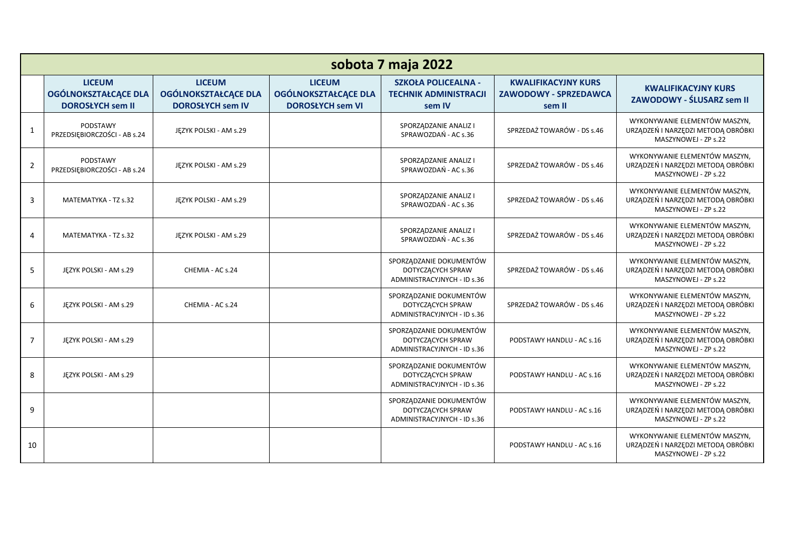| sobota 7 maja 2022 |                                                                         |                                                                         |                                                                         |                                                                             |                                                                      |                                                                                             |  |  |  |
|--------------------|-------------------------------------------------------------------------|-------------------------------------------------------------------------|-------------------------------------------------------------------------|-----------------------------------------------------------------------------|----------------------------------------------------------------------|---------------------------------------------------------------------------------------------|--|--|--|
|                    | <b>LICEUM</b><br><b>OGÓLNOKSZTAŁCĄCE DLA</b><br><b>DOROSŁYCH sem II</b> | <b>LICEUM</b><br><b>OGÓLNOKSZTAŁCĄCE DLA</b><br><b>DOROSŁYCH sem IV</b> | <b>LICEUM</b><br><b>OGÓLNOKSZTAŁCĄCE DLA</b><br><b>DOROSŁYCH sem VI</b> | <b>SZKOŁA POLICEALNA -</b><br><b>TECHNIK ADMINISTRACJI</b><br>sem IV        | <b>KWALIFIKACYJNY KURS</b><br><b>ZAWODOWY - SPRZEDAWCA</b><br>sem II | <b>KWALIFIKACYJNY KURS</b><br>ZAWODOWY - ŚLUSARZ sem II                                     |  |  |  |
| $\mathbf{1}$       | PODSTAWY<br>PRZEDSIĘBIORCZOŚCI - AB s.24                                | JĘZYK POLSKI - AM s.29                                                  |                                                                         | SPORZĄDZANIE ANALIZ I<br>SPRAWOZDAŃ - AC s.36                               | SPRZEDAŻ TOWARÓW - DS s.46                                           | WYKONYWANIE ELEMENTÓW MASZYN,<br>URZĄDZEŃ I NARZĘDZI METODĄ OBRÓBKI<br>MASZYNOWEJ - ZP s.22 |  |  |  |
| $\overline{2}$     | PODSTAWY<br>PRZEDSIĘBIORCZOŚCI - AB s.24                                | JEZYK POLSKI - AM s.29                                                  |                                                                         | SPORZĄDZANIE ANALIZ I<br>SPRAWOZDAŃ - AC s.36                               | SPRZEDAŻ TOWARÓW - DS s.46                                           | WYKONYWANIE ELEMENTÓW MASZYN,<br>URZĄDZEŃ I NARZĘDZI METODĄ OBRÓBKI<br>MASZYNOWEJ - ZP s.22 |  |  |  |
| 3                  | MATEMATYKA - TZ s.32                                                    | JĘZYK POLSKI - AM s.29                                                  |                                                                         | SPORZĄDZANIE ANALIZ I<br>SPRAWOZDAŃ - AC s.36                               | SPRZEDAŻ TOWARÓW - DS s.46                                           | WYKONYWANIE ELEMENTÓW MASZYN.<br>URZĄDZEŃ I NARZĘDZI METODĄ OBRÓBKI<br>MASZYNOWEJ - ZP s.22 |  |  |  |
| $\overline{4}$     | MATEMATYKA - TZ s.32                                                    | JĘZYK POLSKI - AM s.29                                                  |                                                                         | SPORZĄDZANIE ANALIZ I<br>SPRAWOZDAŃ - AC s.36                               | SPRZEDAŻ TOWARÓW - DS s.46                                           | WYKONYWANIE ELEMENTÓW MASZYN,<br>URZĄDZEŃ I NARZĘDZI METODĄ OBRÓBKI<br>MASZYNOWEJ - ZP s.22 |  |  |  |
| 5                  | JEZYK POLSKI - AM s.29                                                  | CHEMIA - AC s.24                                                        |                                                                         | SPORZĄDZANIE DOKUMENTÓW<br>DOTYCZĄCYCH SPRAW<br>ADMINISTRACYJNYCH - ID s.36 | SPRZEDAŻ TOWARÓW - DS s.46                                           | WYKONYWANIE ELEMENTÓW MASZYN,<br>URZĄDZEŃ I NARZĘDZI METODĄ OBRÓBKI<br>MASZYNOWEJ - ZP s.22 |  |  |  |
| 6                  | JEZYK POLSKI - AM s.29                                                  | CHEMIA - AC s.24                                                        |                                                                         | SPORZĄDZANIE DOKUMENTÓW<br>DOTYCZĄCYCH SPRAW<br>ADMINISTRACYJNYCH - ID s.36 | SPRZEDAŻ TOWARÓW - DS s.46                                           | WYKONYWANIE ELEMENTÓW MASZYN,<br>URZĄDZEŃ I NARZĘDZI METODĄ OBRÓBKI<br>MASZYNOWEJ - ZP s.22 |  |  |  |
| $\overline{7}$     | JĘZYK POLSKI - AM s.29                                                  |                                                                         |                                                                         | SPORZĄDZANIE DOKUMENTÓW<br>DOTYCZĄCYCH SPRAW<br>ADMINISTRACYJNYCH - ID s.36 | PODSTAWY HANDLU - AC s.16                                            | WYKONYWANIE ELEMENTÓW MASZYN.<br>URZĄDZEŃ I NARZĘDZI METODĄ OBRÓBKI<br>MASZYNOWEJ - ZP s.22 |  |  |  |
| 8                  | JĘZYK POLSKI - AM s.29                                                  |                                                                         |                                                                         | SPORZĄDZANIE DOKUMENTÓW<br>DOTYCZĄCYCH SPRAW<br>ADMINISTRACYJNYCH - ID s.36 | PODSTAWY HANDLU - AC s.16                                            | WYKONYWANIE ELEMENTÓW MASZYN,<br>URZĄDZEŃ I NARZĘDZI METODĄ OBRÓBKI<br>MASZYNOWEJ - ZP s.22 |  |  |  |
| 9                  |                                                                         |                                                                         |                                                                         | SPORZĄDZANIE DOKUMENTÓW<br>DOTYCZĄCYCH SPRAW<br>ADMINISTRACYJNYCH - ID s.36 | PODSTAWY HANDLU - AC s.16                                            | WYKONYWANIE ELEMENTÓW MASZYN,<br>URZĄDZEŃ I NARZĘDZI METODĄ OBRÓBKI<br>MASZYNOWEJ - ZP s.22 |  |  |  |
| 10                 |                                                                         |                                                                         |                                                                         |                                                                             | PODSTAWY HANDLU - AC s.16                                            | WYKONYWANIE ELEMENTÓW MASZYN.<br>URZĄDZEŃ I NARZĘDZI METODĄ OBRÓBKI<br>MASZYNOWEJ - ZP s.22 |  |  |  |